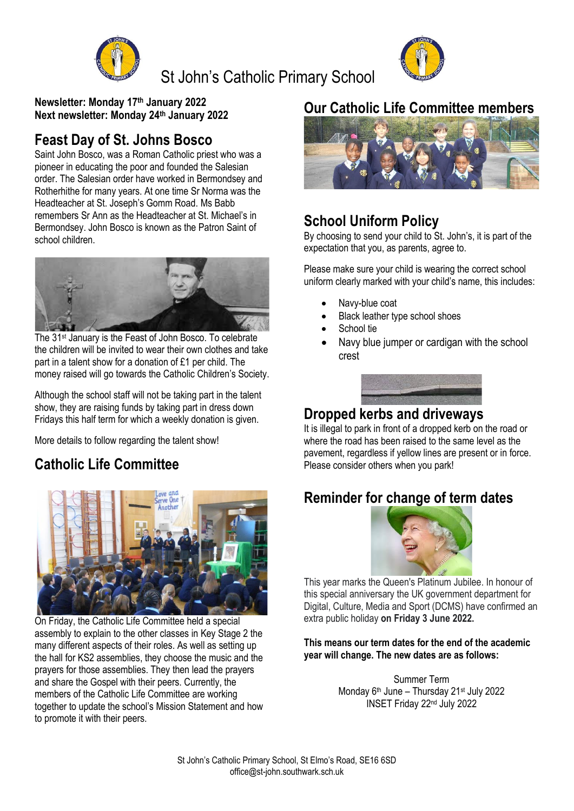

St John's Catholic Primary School



**Newsletter: Monday 17 th January 2022 Next newsletter: Monday 24th January 2022**

# **Feast Day of St. Johns Bosco**

Saint John Bosco, was a Roman Catholic priest who was a pioneer in educating the poor and founded the Salesian order. The Salesian order have worked in Bermondsey and Rotherhithe for many years. At one time Sr Norma was the Headteacher at St. Joseph's Gomm Road. Ms Babb remembers Sr Ann as the Headteacher at St. Michael's in Bermondsey. John Bosco is known as the Patron Saint of school children.



The 31<sup>st</sup> January is the Feast of John Bosco. To celebrate the children will be invited to wear their own clothes and take part in a talent show for a donation of £1 per child. The money raised will go towards the Catholic Children's Society.

Although the school staff will not be taking part in the talent show, they are raising funds by taking part in dress down Fridays this half term for which a weekly donation is given.

More details to follow regarding the talent show!

# **Catholic Life Committee**



On Friday, the Catholic Life Committee held a special assembly to explain to the other classes in Key Stage 2 the many different aspects of their roles. As well as setting up the hall for KS2 assemblies, they choose the music and the prayers for those assemblies. They then lead the prayers and share the Gospel with their peers. Currently, the members of the Catholic Life Committee are working together to update the school's Mission Statement and how to promote it with their peers.

## **Our Catholic Life Committee members**



### **School Uniform Policy**

By choosing to send your child to St. John's, it is part of the expectation that you, as parents, agree to.

Please make sure your child is wearing the correct school uniform clearly marked with your child's name, this includes:

- Navy-blue coat
- Black leather type school shoes
- School tie
- Navy blue jumper or cardigan with the school crest



### **Dropped kerbs and driveways**

It is illegal to park in front of a dropped kerb on the road or where the road has been raised to the same level as the pavement, regardless if yellow lines are present or in force. Please consider others when you park!

# **Reminder for change of term dates**



This year marks the Queen's Platinum Jubilee. In honour of this special anniversary the UK government department for Digital, Culture, Media and Sport (DCMS) have confirmed an extra public holiday **on Friday 3 June 2022.**

#### **This means our term dates for the end of the academic year will change. The new dates are as follows:**

Summer Term Monday 6<sup>th</sup> June – Thursday 21<sup>st</sup> July 2022 INSET Friday 22nd July 2022